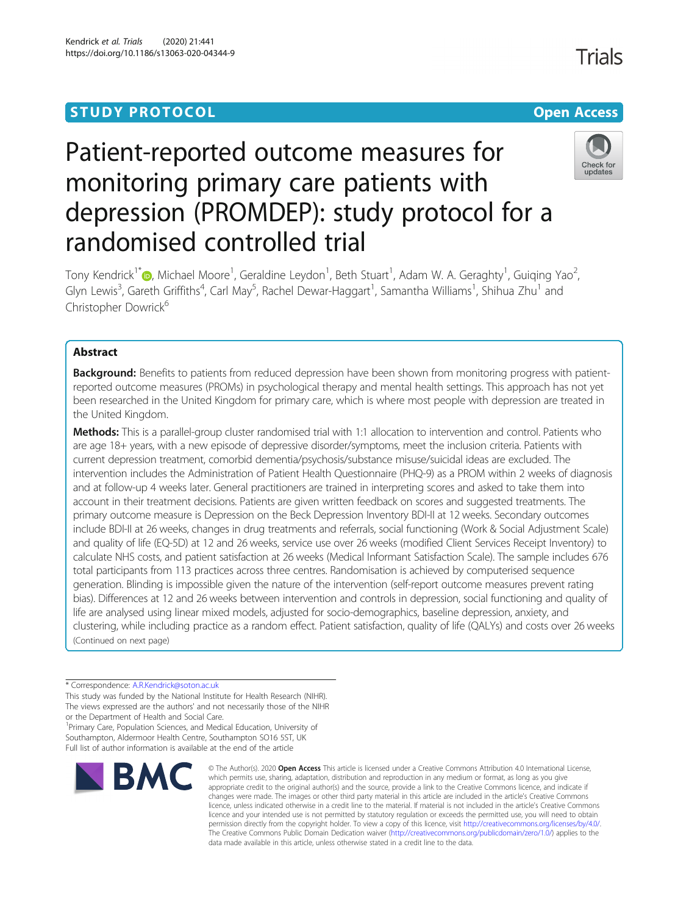# **STUDY PROTOCOL CONSUMING THE RESERVE ACCESS**

# Check for updates

# Patient-reported outcome measures for monitoring primary care patients with depression (PROMDEP): study protocol for a randomised controlled trial

Tony Kendrick $^{\dagger^*}$  , Michael Moore $^{\dagger}$ , Geraldine Leydon $^{\dagger}$ , Beth Stuart $^{\dagger}$ , Adam W. A. Geraghty $^{\dagger}$ , Guiqing Yao $^{\text{2}}$ .<br>, Glyn Lewis<sup>3</sup>, Gareth Griffiths<sup>4</sup>, Carl May<sup>5</sup>, Rachel Dewar-Haggart<sup>1</sup>, Samantha Williams<sup>1</sup>, Shihua Zhu<sup>1</sup> and Christopher Dowrick<sup>6</sup>

### Abstract

Background: Benefits to patients from reduced depression have been shown from monitoring progress with patientreported outcome measures (PROMs) in psychological therapy and mental health settings. This approach has not yet been researched in the United Kingdom for primary care, which is where most people with depression are treated in the United Kingdom.

Methods: This is a parallel-group cluster randomised trial with 1:1 allocation to intervention and control. Patients who are age 18+ years, with a new episode of depressive disorder/symptoms, meet the inclusion criteria. Patients with current depression treatment, comorbid dementia/psychosis/substance misuse/suicidal ideas are excluded. The intervention includes the Administration of Patient Health Questionnaire (PHQ-9) as a PROM within 2 weeks of diagnosis and at follow-up 4 weeks later. General practitioners are trained in interpreting scores and asked to take them into account in their treatment decisions. Patients are given written feedback on scores and suggested treatments. The primary outcome measure is Depression on the Beck Depression Inventory BDI-II at 12 weeks. Secondary outcomes include BDI-II at 26 weeks, changes in drug treatments and referrals, social functioning (Work & Social Adjustment Scale) and quality of life (EQ-5D) at 12 and 26 weeks, service use over 26 weeks (modified Client Services Receipt Inventory) to calculate NHS costs, and patient satisfaction at 26 weeks (Medical Informant Satisfaction Scale). The sample includes 676 total participants from 113 practices across three centres. Randomisation is achieved by computerised sequence generation. Blinding is impossible given the nature of the intervention (self-report outcome measures prevent rating bias). Differences at 12 and 26 weeks between intervention and controls in depression, social functioning and quality of life are analysed using linear mixed models, adjusted for socio-demographics, baseline depression, anxiety, and clustering, while including practice as a random effect. Patient satisfaction, quality of life (QALYs) and costs over 26 weeks (Continued on next page)

\* Correspondence: [A.R.Kendrick@soton.ac.uk](mailto:A.R.Kendrick@soton.ac.uk)

This study was funded by the National Institute for Health Research (NIHR). The views expressed are the authors' and not necessarily those of the NIHR or the Department of Health and Social Care.

<sup>1</sup> Primary Care, Population Sciences, and Medical Education, University of Southampton, Aldermoor Health Centre, Southampton SO16 5ST, UK Full list of author information is available at the end of the article



<sup>©</sup> The Author(s), 2020 **Open Access** This article is licensed under a Creative Commons Attribution 4.0 International License, which permits use, sharing, adaptation, distribution and reproduction in any medium or format, as long as you give appropriate credit to the original author(s) and the source, provide a link to the Creative Commons licence, and indicate if changes were made. The images or other third party material in this article are included in the article's Creative Commons licence, unless indicated otherwise in a credit line to the material. If material is not included in the article's Creative Commons licence and your intended use is not permitted by statutory regulation or exceeds the permitted use, you will need to obtain permission directly from the copyright holder. To view a copy of this licence, visit [http://creativecommons.org/licenses/by/4.0/.](http://creativecommons.org/licenses/by/4.0/) The Creative Commons Public Domain Dedication waiver [\(http://creativecommons.org/publicdomain/zero/1.0/](http://creativecommons.org/publicdomain/zero/1.0/)) applies to the data made available in this article, unless otherwise stated in a credit line to the data.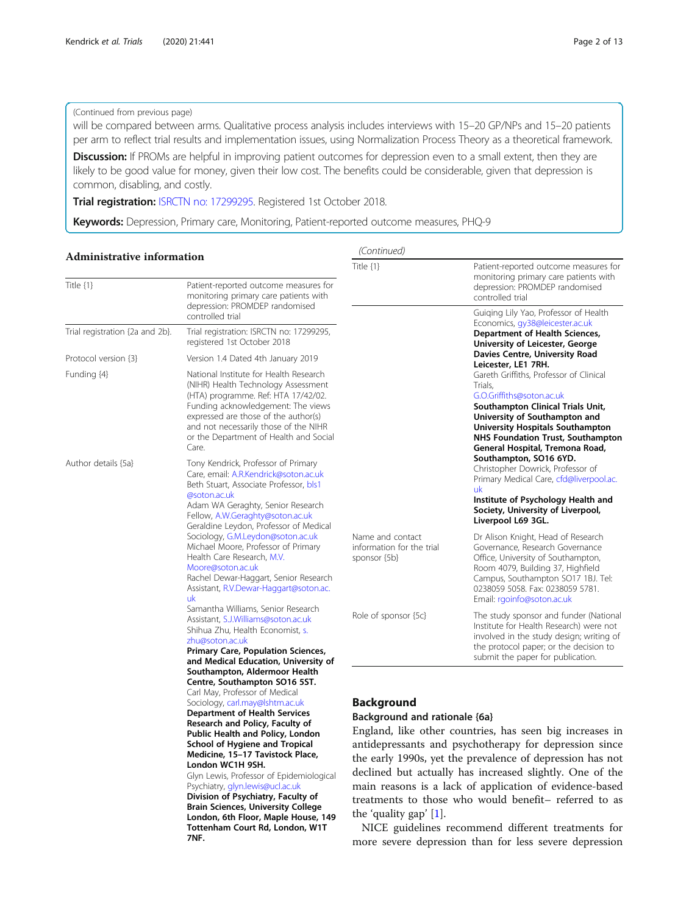#### (Continued from previous page)

will be compared between arms. Qualitative process analysis includes interviews with 15–20 GP/NPs and 15–20 patients per arm to reflect trial results and implementation issues, using Normalization Process Theory as a theoretical framework.

Discussion: If PROMs are helpful in improving patient outcomes for depression even to a small extent, then they are likely to be good value for money, given their low cost. The benefits could be considerable, given that depression is common, disabling, and costly.

Trial registration: [ISRCTN no: 17299295](http://www.isrctn.com/ISRCTN17299295). Registered 1st October 2018.

Public Health and Policy, London School of Hygiene and Tropical Medicine, 15–17 Tavistock Place,

Glyn Lewis, Professor of Epidemiological Psychiatry, [glyn.lewis@ucl.ac.uk](mailto:glyn.lewis@ucl.ac.uk) Division of Psychiatry, Faculty of Brain Sciences, University College London, 6th Floor, Maple House, 149 Tottenham Court Rd, London, W1T

London WC1H 9SH.

7NF.

Keywords: Depression, Primary care, Monitoring, Patient-reported outcome measures, PHQ-9

| <b>Administrative information</b> |                                                                                                                                                                                                                                                                                                                                                                                                                                                                                                                                                                                                                                                                                                                                                                                                                                                                                                                        | (Continued)                                                                                                                                                                                                                                                                               |                                                                                                                                                                                                                                                                                                                                                                                                 |
|-----------------------------------|------------------------------------------------------------------------------------------------------------------------------------------------------------------------------------------------------------------------------------------------------------------------------------------------------------------------------------------------------------------------------------------------------------------------------------------------------------------------------------------------------------------------------------------------------------------------------------------------------------------------------------------------------------------------------------------------------------------------------------------------------------------------------------------------------------------------------------------------------------------------------------------------------------------------|-------------------------------------------------------------------------------------------------------------------------------------------------------------------------------------------------------------------------------------------------------------------------------------------|-------------------------------------------------------------------------------------------------------------------------------------------------------------------------------------------------------------------------------------------------------------------------------------------------------------------------------------------------------------------------------------------------|
|                                   |                                                                                                                                                                                                                                                                                                                                                                                                                                                                                                                                                                                                                                                                                                                                                                                                                                                                                                                        | Title {1}                                                                                                                                                                                                                                                                                 | Patient-reported outcome measures for                                                                                                                                                                                                                                                                                                                                                           |
| Title {1}                         | Patient-reported outcome measures for<br>monitoring primary care patients with<br>depression: PROMDEP randomised<br>controlled trial                                                                                                                                                                                                                                                                                                                                                                                                                                                                                                                                                                                                                                                                                                                                                                                   |                                                                                                                                                                                                                                                                                           | monitoring primary care patients with<br>depression: PROMDEP randomised<br>controlled trial                                                                                                                                                                                                                                                                                                     |
|                                   |                                                                                                                                                                                                                                                                                                                                                                                                                                                                                                                                                                                                                                                                                                                                                                                                                                                                                                                        |                                                                                                                                                                                                                                                                                           | Guiging Lily Yao, Professor of Health<br>Economics, gy38@leicester.ac.uk                                                                                                                                                                                                                                                                                                                        |
| Trial registration {2a and 2b}.   | Trial registration: ISRCTN no: 17299295,<br>registered 1st October 2018                                                                                                                                                                                                                                                                                                                                                                                                                                                                                                                                                                                                                                                                                                                                                                                                                                                |                                                                                                                                                                                                                                                                                           | Department of Health Sciences,<br>University of Leicester, George<br>Davies Centre, University Road<br>Leicester, LE1 7RH.<br>Gareth Griffiths, Professor of Clinical<br>Trials.<br>G.O.Griffiths@soton.ac.uk<br>Southampton Clinical Trials Unit,<br>University of Southampton and<br>University Hospitals Southampton<br>NHS Foundation Trust, Southampton<br>General Hospital, Tremona Road, |
| Protocol version {3}              | Version 1.4 Dated 4th January 2019                                                                                                                                                                                                                                                                                                                                                                                                                                                                                                                                                                                                                                                                                                                                                                                                                                                                                     |                                                                                                                                                                                                                                                                                           |                                                                                                                                                                                                                                                                                                                                                                                                 |
| Funding {4}                       | National Institute for Health Research<br>(NIHR) Health Technology Assessment<br>(HTA) programme. Ref: HTA 17/42/02.<br>Funding acknowledgement: The views<br>expressed are those of the author(s)<br>and not necessarily those of the NIHR<br>or the Department of Health and Social<br>Care.                                                                                                                                                                                                                                                                                                                                                                                                                                                                                                                                                                                                                         |                                                                                                                                                                                                                                                                                           |                                                                                                                                                                                                                                                                                                                                                                                                 |
| Author details {5a}               | Tony Kendrick, Professor of Primary<br>Care, email: A.R.Kendrick@soton.ac.uk<br>Beth Stuart, Associate Professor, bls1<br>@soton.ac.uk<br>Adam WA Geraghty, Senior Research<br>Fellow, A.W.Geraghty@soton.ac.uk<br>Geraldine Leydon, Professor of Medical<br>Sociology, G.M.Leydon@soton.ac.uk<br>Michael Moore, Professor of Primary<br>Health Care Research, M.V.<br>Moore@soton.ac.uk<br>Rachel Dewar-Haggart, Senior Research<br>Assistant, R.V.Dewar-Haggart@soton.ac.<br>uk<br>Samantha Williams, Senior Research<br>Assistant, S.J. Williams@soton.ac.uk<br>Shihua Zhu, Health Economist, s.<br>zhu@soton.ac.uk<br>Primary Care, Population Sciences,<br>and Medical Education, University of<br>Southampton, Aldermoor Health<br>Centre, Southampton SO16 5ST.<br>Carl May, Professor of Medical<br>Sociology, carl.may@lshtm.ac.uk<br><b>Department of Health Services</b><br>Research and Policy, Faculty of |                                                                                                                                                                                                                                                                                           | Southampton, SO16 6YD.<br>Christopher Dowrick, Professor of<br>Primary Medical Care, cfd@liverpool.ac.<br>uk<br>Institute of Psychology Health and<br>Society, University of Liverpool,<br>Liverpool L69 3GL.                                                                                                                                                                                   |
|                                   |                                                                                                                                                                                                                                                                                                                                                                                                                                                                                                                                                                                                                                                                                                                                                                                                                                                                                                                        | Name and contact<br>information for the trial<br>sponsor $\{5b\}$                                                                                                                                                                                                                         | Dr Alison Knight, Head of Research<br>Governance, Research Governance<br>Office, University of Southampton,<br>Room 4079, Building 37, Highfield<br>Campus, Southampton SO17 1BJ. Tel:<br>0238059 5058. Fax: 0238059 5781.<br>Email: rgoinfo@soton.ac.uk                                                                                                                                        |
|                                   |                                                                                                                                                                                                                                                                                                                                                                                                                                                                                                                                                                                                                                                                                                                                                                                                                                                                                                                        | Role of sponsor {5c}                                                                                                                                                                                                                                                                      | The study sponsor and funder (National<br>Institute for Health Research) were not<br>involved in the study design; writing of<br>the protocol paper; or the decision to<br>submit the paper for publication.                                                                                                                                                                                    |
|                                   |                                                                                                                                                                                                                                                                                                                                                                                                                                                                                                                                                                                                                                                                                                                                                                                                                                                                                                                        | <b>Background</b><br>Background and rationale {6a}<br>$\mathbf{r} = 1 - 1$ . The contract of the contract of the contract of the contract of the contract of the contract of the contract of the contract of the contract of the contract of the contract of the contract of the contract |                                                                                                                                                                                                                                                                                                                                                                                                 |

England, like other countries, has seen big increases in antidepressants and psychotherapy for depression since the early 1990s, yet the prevalence of depression has not declined but actually has increased slightly. One of the main reasons is a lack of application of evidence-based treatments to those who would benefit– referred to as the 'quality gap' [\[1](#page-11-0)].

NICE guidelines recommend different treatments for more severe depression than for less severe depression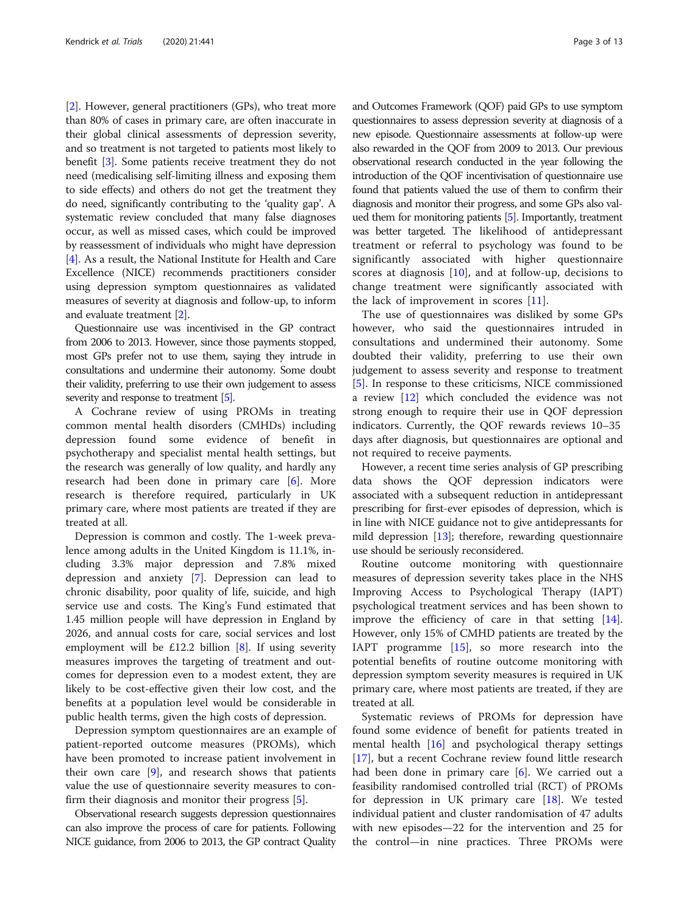[[2\]](#page-11-0). However, general practitioners (GPs), who treat more than 80% of cases in primary care, are often inaccurate in their global clinical assessments of depression severity, and so treatment is not targeted to patients most likely to benefit [\[3\]](#page-11-0). Some patients receive treatment they do not need (medicalising self-limiting illness and exposing them to side effects) and others do not get the treatment they do need, significantly contributing to the 'quality gap'. A systematic review concluded that many false diagnoses occur, as well as missed cases, which could be improved by reassessment of individuals who might have depression [[4\]](#page-11-0). As a result, the National Institute for Health and Care Excellence (NICE) recommends practitioners consider using depression symptom questionnaires as validated measures of severity at diagnosis and follow-up, to inform and evaluate treatment [\[2\]](#page-11-0).

Questionnaire use was incentivised in the GP contract from 2006 to 2013. However, since those payments stopped, most GPs prefer not to use them, saying they intrude in consultations and undermine their autonomy. Some doubt their validity, preferring to use their own judgement to assess severity and response to treatment [[5](#page-11-0)].

A Cochrane review of using PROMs in treating common mental health disorders (CMHDs) including depression found some evidence of benefit in psychotherapy and specialist mental health settings, but the research was generally of low quality, and hardly any research had been done in primary care [\[6](#page-11-0)]. More research is therefore required, particularly in UK primary care, where most patients are treated if they are treated at all.

Depression is common and costly. The 1-week prevalence among adults in the United Kingdom is 11.1%, including 3.3% major depression and 7.8% mixed depression and anxiety [\[7](#page-11-0)]. Depression can lead to chronic disability, poor quality of life, suicide, and high service use and costs. The King's Fund estimated that 1.45 million people will have depression in England by 2026, and annual costs for care, social services and lost employment will be £12.2 billion  $[8]$  $[8]$ . If using severity measures improves the targeting of treatment and outcomes for depression even to a modest extent, they are likely to be cost-effective given their low cost, and the benefits at a population level would be considerable in public health terms, given the high costs of depression.

Depression symptom questionnaires are an example of patient-reported outcome measures (PROMs), which have been promoted to increase patient involvement in their own care [\[9](#page-11-0)], and research shows that patients value the use of questionnaire severity measures to confirm their diagnosis and monitor their progress [\[5](#page-11-0)].

Observational research suggests depression questionnaires can also improve the process of care for patients. Following NICE guidance, from 2006 to 2013, the GP contract Quality and Outcomes Framework (QOF) paid GPs to use symptom questionnaires to assess depression severity at diagnosis of a new episode. Questionnaire assessments at follow-up were also rewarded in the QOF from 2009 to 2013. Our previous observational research conducted in the year following the introduction of the QOF incentivisation of questionnaire use found that patients valued the use of them to confirm their diagnosis and monitor their progress, and some GPs also valued them for monitoring patients [\[5\]](#page-11-0). Importantly, treatment was better targeted. The likelihood of antidepressant treatment or referral to psychology was found to be significantly associated with higher questionnaire scores at diagnosis  $[10]$  $[10]$ , and at follow-up, decisions to change treatment were significantly associated with the lack of improvement in scores [[11](#page-11-0)].

The use of questionnaires was disliked by some GPs however, who said the questionnaires intruded in consultations and undermined their autonomy. Some doubted their validity, preferring to use their own judgement to assess severity and response to treatment [[5\]](#page-11-0). In response to these criticisms, NICE commissioned a review [[12](#page-11-0)] which concluded the evidence was not strong enough to require their use in QOF depression indicators. Currently, the QOF rewards reviews 10–35 days after diagnosis, but questionnaires are optional and not required to receive payments.

However, a recent time series analysis of GP prescribing data shows the QOF depression indicators were associated with a subsequent reduction in antidepressant prescribing for first-ever episodes of depression, which is in line with NICE guidance not to give antidepressants for mild depression [[13](#page-11-0)]; therefore, rewarding questionnaire use should be seriously reconsidered.

Routine outcome monitoring with questionnaire measures of depression severity takes place in the NHS Improving Access to Psychological Therapy (IAPT) psychological treatment services and has been shown to improve the efficiency of care in that setting [\[14](#page-11-0)]. However, only 15% of CMHD patients are treated by the IAPT programme [[15](#page-11-0)], so more research into the potential benefits of routine outcome monitoring with depression symptom severity measures is required in UK primary care, where most patients are treated, if they are treated at all.

Systematic reviews of PROMs for depression have found some evidence of benefit for patients treated in mental health [\[16](#page-11-0)] and psychological therapy settings [[17\]](#page-11-0), but a recent Cochrane review found little research had been done in primary care [\[6](#page-11-0)]. We carried out a feasibility randomised controlled trial (RCT) of PROMs for depression in UK primary care [\[18](#page-11-0)]. We tested individual patient and cluster randomisation of 47 adults with new episodes—22 for the intervention and 25 for the control—in nine practices. Three PROMs were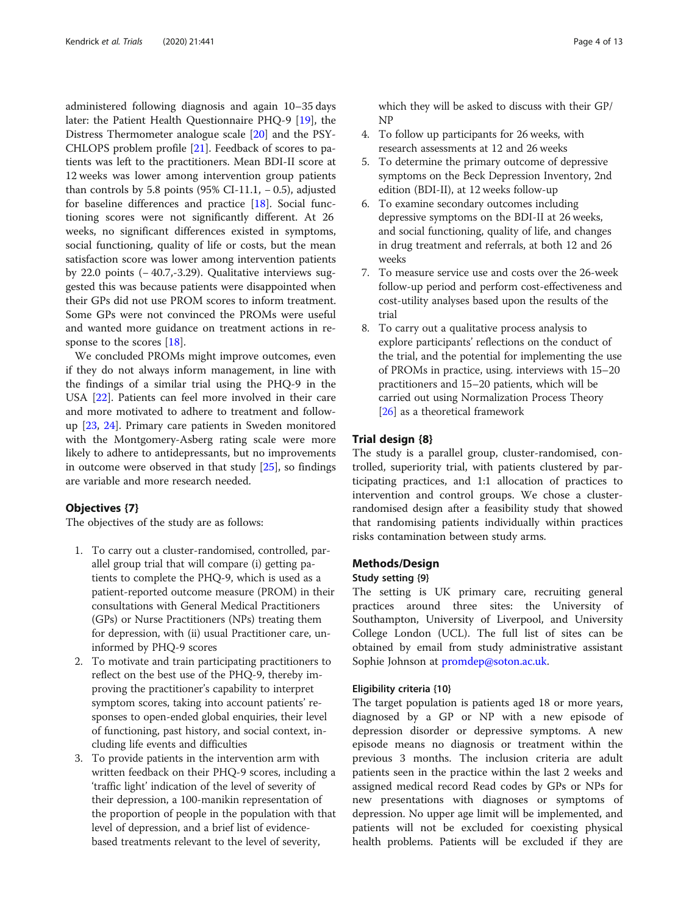administered following diagnosis and again 10–35 days later: the Patient Health Questionnaire PHQ-9 [[19\]](#page-11-0), the Distress Thermometer analogue scale [[20\]](#page-11-0) and the PSY-CHLOPS problem profile [[21](#page-11-0)]. Feedback of scores to patients was left to the practitioners. Mean BDI-II score at 12 weeks was lower among intervention group patients than controls by 5.8 points (95% CI-11.1,  $-$  0.5), adjusted for baseline differences and practice [[18\]](#page-11-0). Social functioning scores were not significantly different. At 26 weeks, no significant differences existed in symptoms, social functioning, quality of life or costs, but the mean satisfaction score was lower among intervention patients by 22.0 points (− 40.7,-3.29). Qualitative interviews suggested this was because patients were disappointed when their GPs did not use PROM scores to inform treatment. Some GPs were not convinced the PROMs were useful and wanted more guidance on treatment actions in re-sponse to the scores [[18](#page-11-0)].

We concluded PROMs might improve outcomes, even if they do not always inform management, in line with the findings of a similar trial using the PHQ-9 in the USA [[22\]](#page-11-0). Patients can feel more involved in their care and more motivated to adhere to treatment and followup [\[23,](#page-11-0) [24\]](#page-11-0). Primary care patients in Sweden monitored with the Montgomery-Asberg rating scale were more likely to adhere to antidepressants, but no improvements in outcome were observed in that study [[25](#page-11-0)], so findings are variable and more research needed.

#### Objectives {7}

The objectives of the study are as follows:

- 1. To carry out a cluster-randomised, controlled, parallel group trial that will compare (i) getting patients to complete the PHQ-9, which is used as a patient-reported outcome measure (PROM) in their consultations with General Medical Practitioners (GPs) or Nurse Practitioners (NPs) treating them for depression, with (ii) usual Practitioner care, uninformed by PHQ-9 scores
- 2. To motivate and train participating practitioners to reflect on the best use of the PHQ-9, thereby improving the practitioner's capability to interpret symptom scores, taking into account patients' responses to open-ended global enquiries, their level of functioning, past history, and social context, including life events and difficulties
- 3. To provide patients in the intervention arm with written feedback on their PHQ-9 scores, including a 'traffic light' indication of the level of severity of their depression, a 100-manikin representation of the proportion of people in the population with that level of depression, and a brief list of evidencebased treatments relevant to the level of severity,

which they will be asked to discuss with their GP/ NP

- 4. To follow up participants for 26 weeks, with research assessments at 12 and 26 weeks
- 5. To determine the primary outcome of depressive symptoms on the Beck Depression Inventory, 2nd edition (BDI-II), at 12 weeks follow-up
- 6. To examine secondary outcomes including depressive symptoms on the BDI-II at 26 weeks, and social functioning, quality of life, and changes in drug treatment and referrals, at both 12 and 26 weeks
- 7. To measure service use and costs over the 26-week follow-up period and perform cost-effectiveness and cost-utility analyses based upon the results of the trial
- 8. To carry out a qualitative process analysis to explore participants' reflections on the conduct of the trial, and the potential for implementing the use of PROMs in practice, using. interviews with 15–20 practitioners and 15–20 patients, which will be carried out using Normalization Process Theory [[26](#page-11-0)] as a theoretical framework

#### Trial design {8}

The study is a parallel group, cluster-randomised, controlled, superiority trial, with patients clustered by participating practices, and 1:1 allocation of practices to intervention and control groups. We chose a clusterrandomised design after a feasibility study that showed that randomising patients individually within practices risks contamination between study arms.

#### Methods/Design

#### Study setting {9}

The setting is UK primary care, recruiting general practices around three sites: the University of Southampton, University of Liverpool, and University College London (UCL). The full list of sites can be obtained by email from study administrative assistant Sophie Johnson at [promdep@soton.ac.uk.](mailto:promdep@soton.ac.uk)

#### Eligibility criteria {10}

The target population is patients aged 18 or more years, diagnosed by a GP or NP with a new episode of depression disorder or depressive symptoms. A new episode means no diagnosis or treatment within the previous 3 months. The inclusion criteria are adult patients seen in the practice within the last 2 weeks and assigned medical record Read codes by GPs or NPs for new presentations with diagnoses or symptoms of depression. No upper age limit will be implemented, and patients will not be excluded for coexisting physical health problems. Patients will be excluded if they are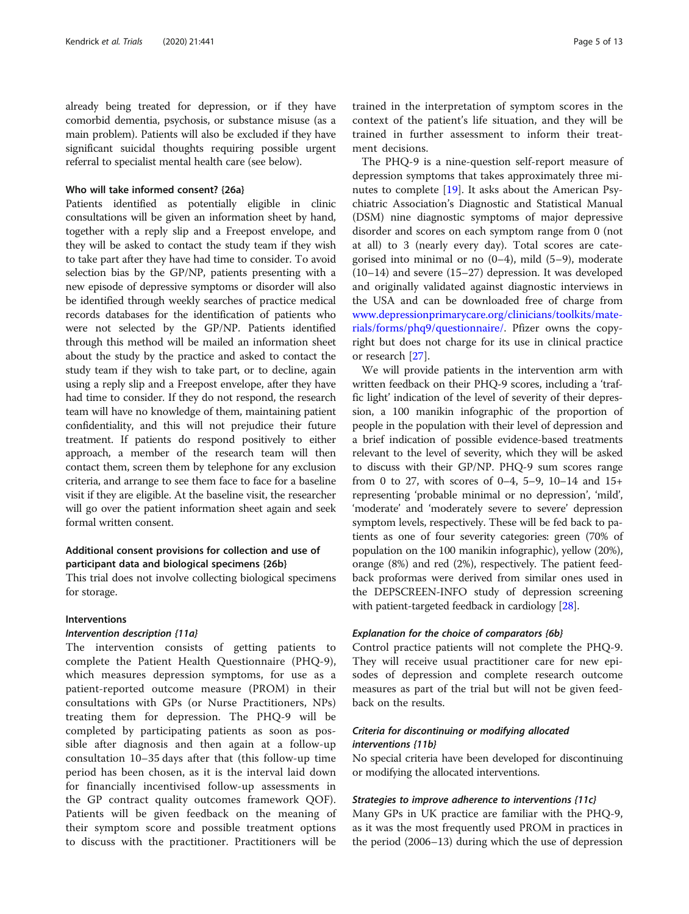Kendrick et al. Trials (2020) 21:441 Contact 1:00 and 2012 01:441 Contact 1:00 and 2:00 Page 5 of 13

already being treated for depression, or if they have comorbid dementia, psychosis, or substance misuse (as a main problem). Patients will also be excluded if they have significant suicidal thoughts requiring possible urgent referral to specialist mental health care (see below).

#### Who will take informed consent? {26a}

Patients identified as potentially eligible in clinic consultations will be given an information sheet by hand, together with a reply slip and a Freepost envelope, and they will be asked to contact the study team if they wish to take part after they have had time to consider. To avoid selection bias by the GP/NP, patients presenting with a new episode of depressive symptoms or disorder will also be identified through weekly searches of practice medical records databases for the identification of patients who were not selected by the GP/NP. Patients identified through this method will be mailed an information sheet about the study by the practice and asked to contact the study team if they wish to take part, or to decline, again using a reply slip and a Freepost envelope, after they have had time to consider. If they do not respond, the research team will have no knowledge of them, maintaining patient confidentiality, and this will not prejudice their future treatment. If patients do respond positively to either approach, a member of the research team will then contact them, screen them by telephone for any exclusion criteria, and arrange to see them face to face for a baseline visit if they are eligible. At the baseline visit, the researcher will go over the patient information sheet again and seek formal written consent.

#### Additional consent provisions for collection and use of participant data and biological specimens {26b}

This trial does not involve collecting biological specimens for storage.

#### Interventions

#### Intervention description {11a}

The intervention consists of getting patients to complete the Patient Health Questionnaire (PHQ-9), which measures depression symptoms, for use as a patient-reported outcome measure (PROM) in their consultations with GPs (or Nurse Practitioners, NPs) treating them for depression. The PHQ-9 will be completed by participating patients as soon as possible after diagnosis and then again at a follow-up consultation 10–35 days after that (this follow-up time period has been chosen, as it is the interval laid down for financially incentivised follow-up assessments in the GP contract quality outcomes framework QOF). Patients will be given feedback on the meaning of their symptom score and possible treatment options to discuss with the practitioner. Practitioners will be

trained in the interpretation of symptom scores in the context of the patient's life situation, and they will be trained in further assessment to inform their treatment decisions.

The PHQ-9 is a nine-question self-report measure of depression symptoms that takes approximately three minutes to complete [\[19\]](#page-11-0). It asks about the American Psychiatric Association's Diagnostic and Statistical Manual (DSM) nine diagnostic symptoms of major depressive disorder and scores on each symptom range from 0 (not at all) to 3 (nearly every day). Total scores are categorised into minimal or no (0–4), mild (5–9), moderate (10–14) and severe (15–27) depression. It was developed and originally validated against diagnostic interviews in the USA and can be downloaded free of charge from [www.depressionprimarycare.org/clinicians/toolkits/mate](http://www.depressionprimarycare.org/clinicians/toolkits/materials/forms/phq9/questionnaire/)[rials/forms/phq9/questionnaire/.](http://www.depressionprimarycare.org/clinicians/toolkits/materials/forms/phq9/questionnaire/) Pfizer owns the copyright but does not charge for its use in clinical practice or research [[27](#page-12-0)].

We will provide patients in the intervention arm with written feedback on their PHQ-9 scores, including a 'traffic light' indication of the level of severity of their depression, a 100 manikin infographic of the proportion of people in the population with their level of depression and a brief indication of possible evidence-based treatments relevant to the level of severity, which they will be asked to discuss with their GP/NP. PHQ-9 sum scores range from 0 to 27, with scores of  $0-4$ , 5-9, 10-14 and 15+ representing 'probable minimal or no depression', 'mild', 'moderate' and 'moderately severe to severe' depression symptom levels, respectively. These will be fed back to patients as one of four severity categories: green (70% of population on the 100 manikin infographic), yellow (20%), orange (8%) and red (2%), respectively. The patient feedback proformas were derived from similar ones used in the DEPSCREEN-INFO study of depression screening with patient-targeted feedback in cardiology [\[28\]](#page-12-0).

#### Explanation for the choice of comparators {6b}

Control practice patients will not complete the PHQ-9. They will receive usual practitioner care for new episodes of depression and complete research outcome measures as part of the trial but will not be given feedback on the results.

#### Criteria for discontinuing or modifying allocated interventions {11b}

No special criteria have been developed for discontinuing or modifying the allocated interventions.

#### Strategies to improve adherence to interventions {11c}

Many GPs in UK practice are familiar with the PHQ-9, as it was the most frequently used PROM in practices in the period (2006–13) during which the use of depression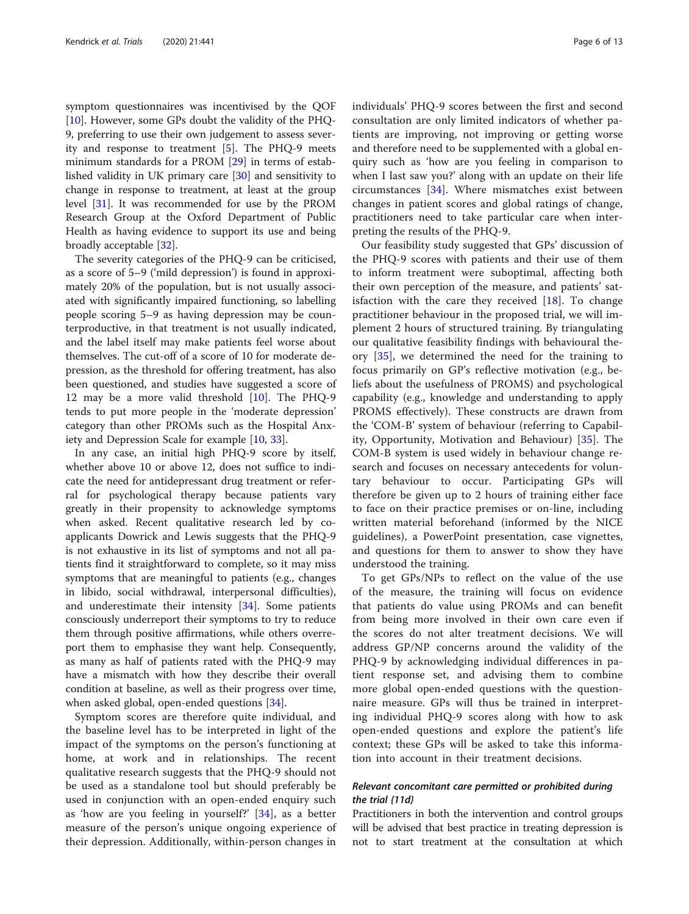symptom questionnaires was incentivised by the QOF [[10\]](#page-11-0). However, some GPs doubt the validity of the PHQ-9, preferring to use their own judgement to assess severity and response to treatment  $[5]$  $[5]$ . The PHQ-9 meets minimum standards for a PROM [[29](#page-12-0)] in terms of established validity in UK primary care [[30\]](#page-12-0) and sensitivity to change in response to treatment, at least at the group level [[31\]](#page-12-0). It was recommended for use by the PROM Research Group at the Oxford Department of Public Health as having evidence to support its use and being broadly acceptable [[32](#page-12-0)].

The severity categories of the PHQ-9 can be criticised, as a score of 5–9 ('mild depression') is found in approximately 20% of the population, but is not usually associated with significantly impaired functioning, so labelling people scoring 5–9 as having depression may be counterproductive, in that treatment is not usually indicated, and the label itself may make patients feel worse about themselves. The cut-off of a score of 10 for moderate depression, as the threshold for offering treatment, has also been questioned, and studies have suggested a score of 12 may be a more valid threshold [[10\]](#page-11-0). The PHQ-9 tends to put more people in the 'moderate depression' category than other PROMs such as the Hospital Anxiety and Depression Scale for example [[10,](#page-11-0) [33\]](#page-12-0).

In any case, an initial high PHQ-9 score by itself, whether above 10 or above 12, does not suffice to indicate the need for antidepressant drug treatment or referral for psychological therapy because patients vary greatly in their propensity to acknowledge symptoms when asked. Recent qualitative research led by coapplicants Dowrick and Lewis suggests that the PHQ-9 is not exhaustive in its list of symptoms and not all patients find it straightforward to complete, so it may miss symptoms that are meaningful to patients (e.g., changes in libido, social withdrawal, interpersonal difficulties), and underestimate their intensity [\[34](#page-12-0)]. Some patients consciously underreport their symptoms to try to reduce them through positive affirmations, while others overreport them to emphasise they want help. Consequently, as many as half of patients rated with the PHQ-9 may have a mismatch with how they describe their overall condition at baseline, as well as their progress over time, when asked global, open-ended questions [[34\]](#page-12-0).

Symptom scores are therefore quite individual, and the baseline level has to be interpreted in light of the impact of the symptoms on the person's functioning at home, at work and in relationships. The recent qualitative research suggests that the PHQ-9 should not be used as a standalone tool but should preferably be used in conjunction with an open-ended enquiry such as 'how are you feeling in yourself?' [[34\]](#page-12-0), as a better measure of the person's unique ongoing experience of their depression. Additionally, within-person changes in individuals' PHQ-9 scores between the first and second consultation are only limited indicators of whether patients are improving, not improving or getting worse and therefore need to be supplemented with a global enquiry such as 'how are you feeling in comparison to when I last saw you?' along with an update on their life circumstances [[34](#page-12-0)]. Where mismatches exist between changes in patient scores and global ratings of change, practitioners need to take particular care when interpreting the results of the PHQ-9.

Our feasibility study suggested that GPs' discussion of the PHQ-9 scores with patients and their use of them to inform treatment were suboptimal, affecting both their own perception of the measure, and patients' satisfaction with the care they received  $[18]$  $[18]$ . To change practitioner behaviour in the proposed trial, we will implement 2 hours of structured training. By triangulating our qualitative feasibility findings with behavioural theory [\[35](#page-12-0)], we determined the need for the training to focus primarily on GP's reflective motivation (e.g., beliefs about the usefulness of PROMS) and psychological capability (e.g., knowledge and understanding to apply PROMS effectively). These constructs are drawn from the 'COM-B' system of behaviour (referring to Capability, Opportunity, Motivation and Behaviour) [\[35](#page-12-0)]. The COM-B system is used widely in behaviour change research and focuses on necessary antecedents for voluntary behaviour to occur. Participating GPs will therefore be given up to 2 hours of training either face to face on their practice premises or on-line, including written material beforehand (informed by the NICE guidelines), a PowerPoint presentation, case vignettes, and questions for them to answer to show they have understood the training.

To get GPs/NPs to reflect on the value of the use of the measure, the training will focus on evidence that patients do value using PROMs and can benefit from being more involved in their own care even if the scores do not alter treatment decisions. We will address GP/NP concerns around the validity of the PHQ-9 by acknowledging individual differences in patient response set, and advising them to combine more global open-ended questions with the questionnaire measure. GPs will thus be trained in interpreting individual PHQ-9 scores along with how to ask open-ended questions and explore the patient's life context; these GPs will be asked to take this information into account in their treatment decisions.

#### Relevant concomitant care permitted or prohibited during the trial {11d}

Practitioners in both the intervention and control groups will be advised that best practice in treating depression is not to start treatment at the consultation at which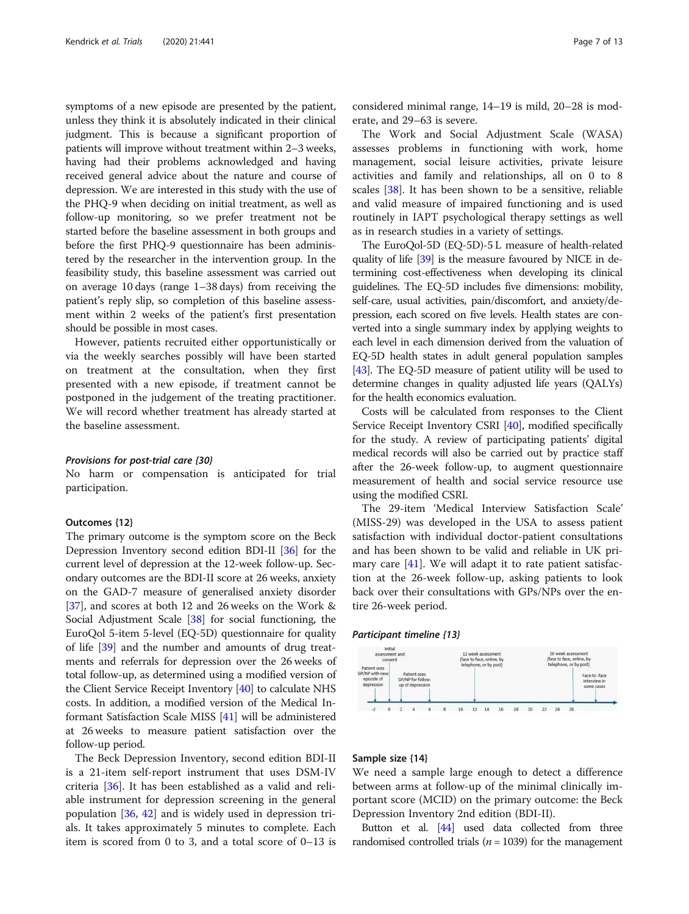symptoms of a new episode are presented by the patient, unless they think it is absolutely indicated in their clinical judgment. This is because a significant proportion of patients will improve without treatment within 2–3 weeks, having had their problems acknowledged and having received general advice about the nature and course of depression. We are interested in this study with the use of the PHQ-9 when deciding on initial treatment, as well as follow-up monitoring, so we prefer treatment not be started before the baseline assessment in both groups and before the first PHQ-9 questionnaire has been administered by the researcher in the intervention group. In the feasibility study, this baseline assessment was carried out on average 10 days (range 1–38 days) from receiving the patient's reply slip, so completion of this baseline assessment within 2 weeks of the patient's first presentation should be possible in most cases.

However, patients recruited either opportunistically or via the weekly searches possibly will have been started on treatment at the consultation, when they first presented with a new episode, if treatment cannot be postponed in the judgement of the treating practitioner. We will record whether treatment has already started at the baseline assessment.

#### Provisions for post-trial care {30}

No harm or compensation is anticipated for trial participation.

#### Outcomes {12}

The primary outcome is the symptom score on the Beck Depression Inventory second edition BDI-II [\[36](#page-12-0)] for the current level of depression at the 12-week follow-up. Secondary outcomes are the BDI-II score at 26 weeks, anxiety on the GAD-7 measure of generalised anxiety disorder [[37](#page-12-0)], and scores at both 12 and 26 weeks on the Work & Social Adjustment Scale [[38](#page-12-0)] for social functioning, the EuroQol 5-item 5-level (EQ-5D) questionnaire for quality of life [[39\]](#page-12-0) and the number and amounts of drug treatments and referrals for depression over the 26 weeks of total follow-up, as determined using a modified version of the Client Service Receipt Inventory [[40](#page-12-0)] to calculate NHS costs. In addition, a modified version of the Medical Informant Satisfaction Scale MISS [[41](#page-12-0)] will be administered at 26 weeks to measure patient satisfaction over the follow-up period.

The Beck Depression Inventory, second edition BDI-II is a 21-item self-report instrument that uses DSM-IV criteria [[36](#page-12-0)]. It has been established as a valid and reliable instrument for depression screening in the general population [\[36](#page-12-0), [42\]](#page-12-0) and is widely used in depression trials. It takes approximately 5 minutes to complete. Each item is scored from 0 to 3, and a total score of 0–13 is

considered minimal range, 14–19 is mild, 20–28 is moderate, and 29–63 is severe.

The Work and Social Adjustment Scale (WASA) assesses problems in functioning with work, home management, social leisure activities, private leisure activities and family and relationships, all on 0 to 8 scales [[38\]](#page-12-0). It has been shown to be a sensitive, reliable and valid measure of impaired functioning and is used routinely in IAPT psychological therapy settings as well as in research studies in a variety of settings.

The EuroQol-5D (EQ-5D)-5 L measure of health-related quality of life [\[39\]](#page-12-0) is the measure favoured by NICE in determining cost-effectiveness when developing its clinical guidelines. The EQ-5D includes five dimensions: mobility, self-care, usual activities, pain/discomfort, and anxiety/depression, each scored on five levels. Health states are converted into a single summary index by applying weights to each level in each dimension derived from the valuation of EQ-5D health states in adult general population samples [[43](#page-12-0)]. The EQ-5D measure of patient utility will be used to determine changes in quality adjusted life years (QALYs) for the health economics evaluation.

Costs will be calculated from responses to the Client Service Receipt Inventory CSRI [[40](#page-12-0)], modified specifically for the study. A review of participating patients' digital medical records will also be carried out by practice staff after the 26-week follow-up, to augment questionnaire measurement of health and social service resource use using the modified CSRI.

The 29-item 'Medical Interview Satisfaction Scale' (MISS-29) was developed in the USA to assess patient satisfaction with individual doctor-patient consultations and has been shown to be valid and reliable in UK pri-mary care [[41](#page-12-0)]. We will adapt it to rate patient satisfaction at the 26-week follow-up, asking patients to look back over their consultations with GPs/NPs over the entire 26-week period.





#### Sample size {14}

We need a sample large enough to detect a difference between arms at follow-up of the minimal clinically important score (MCID) on the primary outcome: the Beck Depression Inventory 2nd edition (BDI-II).

Button et al. [\[44](#page-12-0)] used data collected from three randomised controlled trials ( $n = 1039$ ) for the management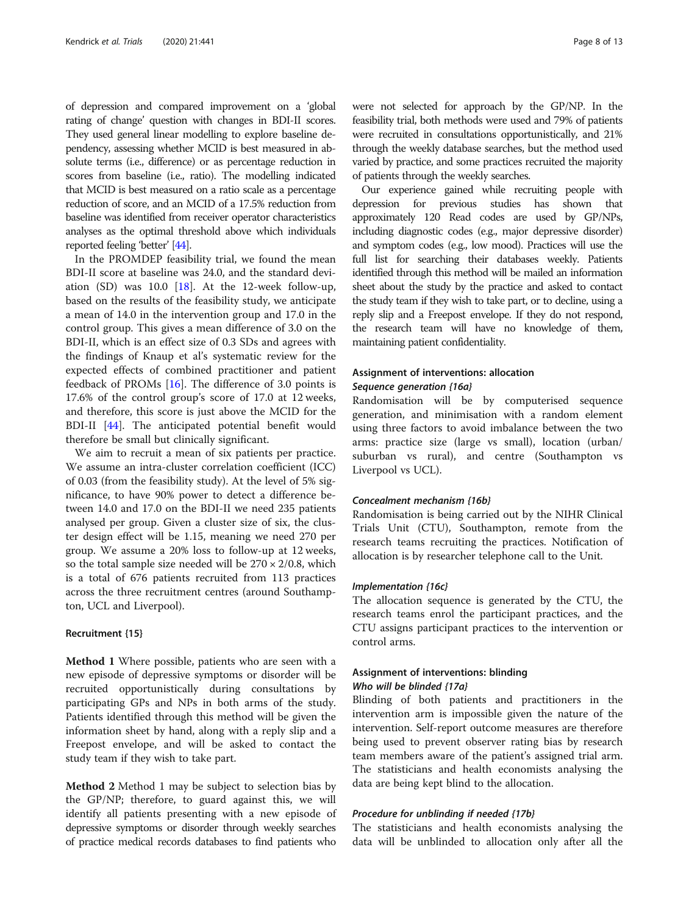of depression and compared improvement on a 'global rating of change' question with changes in BDI-II scores. They used general linear modelling to explore baseline dependency, assessing whether MCID is best measured in absolute terms (i.e., difference) or as percentage reduction in scores from baseline (i.e., ratio). The modelling indicated that MCID is best measured on a ratio scale as a percentage reduction of score, and an MCID of a 17.5% reduction from baseline was identified from receiver operator characteristics analyses as the optimal threshold above which individuals reported feeling 'better' [\[44\]](#page-12-0).

In the PROMDEP feasibility trial, we found the mean BDI-II score at baseline was 24.0, and the standard deviation (SD) was  $10.0$  [\[18\]](#page-11-0). At the 12-week follow-up, based on the results of the feasibility study, we anticipate a mean of 14.0 in the intervention group and 17.0 in the control group. This gives a mean difference of 3.0 on the BDI-II, which is an effect size of 0.3 SDs and agrees with the findings of Knaup et al's systematic review for the expected effects of combined practitioner and patient feedback of PROMs [\[16](#page-11-0)]. The difference of 3.0 points is 17.6% of the control group's score of 17.0 at 12 weeks, and therefore, this score is just above the MCID for the BDI-II [[44\]](#page-12-0). The anticipated potential benefit would therefore be small but clinically significant.

We aim to recruit a mean of six patients per practice. We assume an intra-cluster correlation coefficient (ICC) of 0.03 (from the feasibility study). At the level of 5% significance, to have 90% power to detect a difference between 14.0 and 17.0 on the BDI-II we need 235 patients analysed per group. Given a cluster size of six, the cluster design effect will be 1.15, meaning we need 270 per group. We assume a 20% loss to follow-up at 12 weeks, so the total sample size needed will be  $270 \times 2/0.8$ , which is a total of 676 patients recruited from 113 practices across the three recruitment centres (around Southampton, UCL and Liverpool).

#### Recruitment {15}

Method 1 Where possible, patients who are seen with a new episode of depressive symptoms or disorder will be recruited opportunistically during consultations by participating GPs and NPs in both arms of the study. Patients identified through this method will be given the information sheet by hand, along with a reply slip and a Freepost envelope, and will be asked to contact the study team if they wish to take part.

Method 2 Method 1 may be subject to selection bias by the GP/NP; therefore, to guard against this, we will identify all patients presenting with a new episode of depressive symptoms or disorder through weekly searches of practice medical records databases to find patients who were not selected for approach by the GP/NP. In the feasibility trial, both methods were used and 79% of patients were recruited in consultations opportunistically, and 21% through the weekly database searches, but the method used varied by practice, and some practices recruited the majority of patients through the weekly searches.

Our experience gained while recruiting people with depression for previous studies has shown that approximately 120 Read codes are used by GP/NPs, including diagnostic codes (e.g., major depressive disorder) and symptom codes (e.g., low mood). Practices will use the full list for searching their databases weekly. Patients identified through this method will be mailed an information sheet about the study by the practice and asked to contact the study team if they wish to take part, or to decline, using a reply slip and a Freepost envelope. If they do not respond, the research team will have no knowledge of them, maintaining patient confidentiality.

# Assignment of interventions: allocation

#### Sequence generation {16a}

Randomisation will be by computerised sequence generation, and minimisation with a random element using three factors to avoid imbalance between the two arms: practice size (large vs small), location (urban/ suburban vs rural), and centre (Southampton vs Liverpool vs UCL).

#### Concealment mechanism {16b}

Randomisation is being carried out by the NIHR Clinical Trials Unit (CTU), Southampton, remote from the research teams recruiting the practices. Notification of allocation is by researcher telephone call to the Unit.

#### Implementation {16c}

The allocation sequence is generated by the CTU, the research teams enrol the participant practices, and the CTU assigns participant practices to the intervention or control arms.

#### Assignment of interventions: blinding Who will be blinded {17a}

Blinding of both patients and practitioners in the intervention arm is impossible given the nature of the intervention. Self-report outcome measures are therefore being used to prevent observer rating bias by research team members aware of the patient's assigned trial arm. The statisticians and health economists analysing the data are being kept blind to the allocation.

#### Procedure for unblinding if needed {17b}

The statisticians and health economists analysing the data will be unblinded to allocation only after all the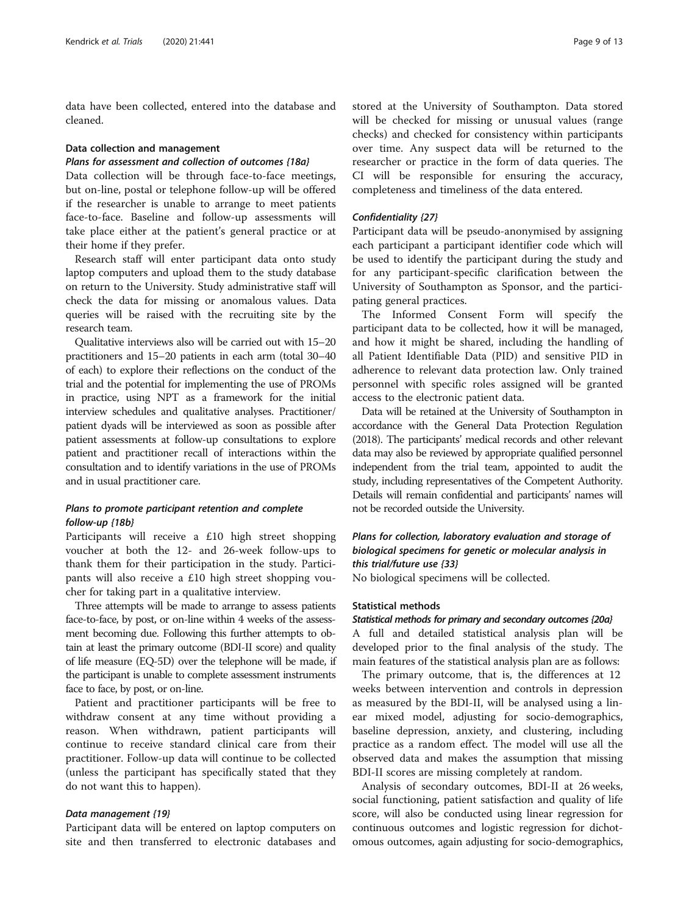data have been collected, entered into the database and cleaned.

#### Data collection and management

#### Plans for assessment and collection of outcomes {18a}

Data collection will be through face-to-face meetings, but on-line, postal or telephone follow-up will be offered if the researcher is unable to arrange to meet patients face-to-face. Baseline and follow-up assessments will take place either at the patient's general practice or at their home if they prefer.

Research staff will enter participant data onto study laptop computers and upload them to the study database on return to the University. Study administrative staff will check the data for missing or anomalous values. Data queries will be raised with the recruiting site by the research team.

Qualitative interviews also will be carried out with 15–20 practitioners and 15–20 patients in each arm (total 30–40 of each) to explore their reflections on the conduct of the trial and the potential for implementing the use of PROMs in practice, using NPT as a framework for the initial interview schedules and qualitative analyses. Practitioner/ patient dyads will be interviewed as soon as possible after patient assessments at follow-up consultations to explore patient and practitioner recall of interactions within the consultation and to identify variations in the use of PROMs and in usual practitioner care.

#### Plans to promote participant retention and complete follow-up {18b}

Participants will receive a £10 high street shopping voucher at both the 12- and 26-week follow-ups to thank them for their participation in the study. Participants will also receive a £10 high street shopping voucher for taking part in a qualitative interview.

Three attempts will be made to arrange to assess patients face-to-face, by post, or on-line within 4 weeks of the assessment becoming due. Following this further attempts to obtain at least the primary outcome (BDI-II score) and quality of life measure (EQ-5D) over the telephone will be made, if the participant is unable to complete assessment instruments face to face, by post, or on-line.

Patient and practitioner participants will be free to withdraw consent at any time without providing a reason. When withdrawn, patient participants will continue to receive standard clinical care from their practitioner. Follow-up data will continue to be collected (unless the participant has specifically stated that they do not want this to happen).

#### Data management {19}

Participant data will be entered on laptop computers on site and then transferred to electronic databases and stored at the University of Southampton. Data stored will be checked for missing or unusual values (range checks) and checked for consistency within participants over time. Any suspect data will be returned to the researcher or practice in the form of data queries. The CI will be responsible for ensuring the accuracy, completeness and timeliness of the data entered.

#### Confidentiality {27}

Participant data will be pseudo-anonymised by assigning each participant a participant identifier code which will be used to identify the participant during the study and for any participant-specific clarification between the University of Southampton as Sponsor, and the participating general practices.

The Informed Consent Form will specify the participant data to be collected, how it will be managed, and how it might be shared, including the handling of all Patient Identifiable Data (PID) and sensitive PID in adherence to relevant data protection law. Only trained personnel with specific roles assigned will be granted access to the electronic patient data.

Data will be retained at the University of Southampton in accordance with the General Data Protection Regulation (2018). The participants' medical records and other relevant data may also be reviewed by appropriate qualified personnel independent from the trial team, appointed to audit the study, including representatives of the Competent Authority. Details will remain confidential and participants' names will not be recorded outside the University.

#### Plans for collection, laboratory evaluation and storage of biological specimens for genetic or molecular analysis in this trial/future use {33}

No biological specimens will be collected.

#### Statistical methods

#### Statistical methods for primary and secondary outcomes {20a}

A full and detailed statistical analysis plan will be developed prior to the final analysis of the study. The main features of the statistical analysis plan are as follows:

The primary outcome, that is, the differences at 12 weeks between intervention and controls in depression as measured by the BDI-II, will be analysed using a linear mixed model, adjusting for socio-demographics, baseline depression, anxiety, and clustering, including practice as a random effect. The model will use all the observed data and makes the assumption that missing BDI-II scores are missing completely at random.

Analysis of secondary outcomes, BDI-II at 26 weeks, social functioning, patient satisfaction and quality of life score, will also be conducted using linear regression for continuous outcomes and logistic regression for dichotomous outcomes, again adjusting for socio-demographics,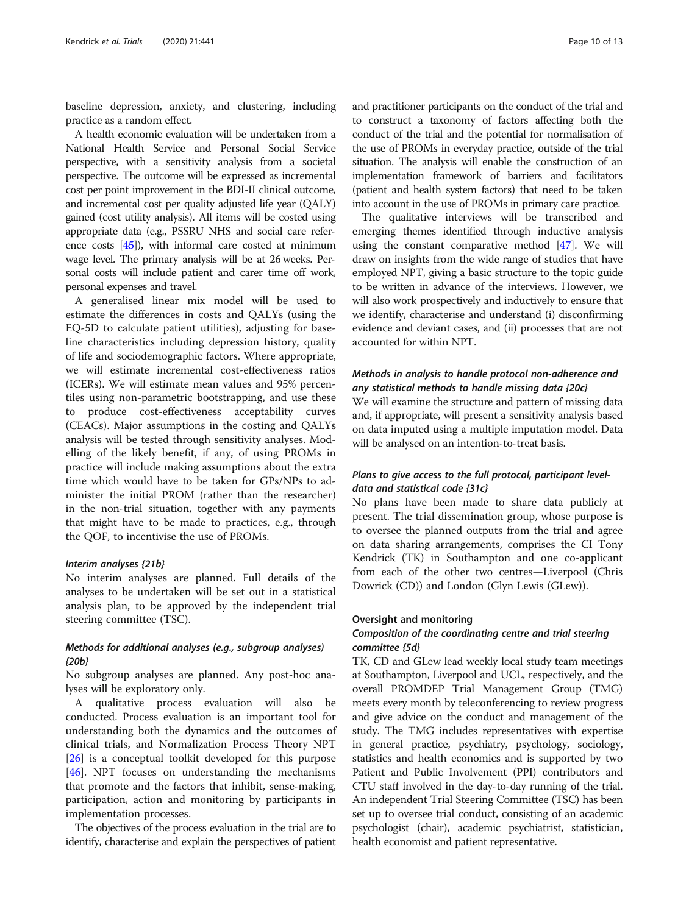baseline depression, anxiety, and clustering, including practice as a random effect.

A health economic evaluation will be undertaken from a National Health Service and Personal Social Service perspective, with a sensitivity analysis from a societal perspective. The outcome will be expressed as incremental cost per point improvement in the BDI-II clinical outcome, and incremental cost per quality adjusted life year (QALY) gained (cost utility analysis). All items will be costed using appropriate data (e.g., PSSRU NHS and social care reference costs [\[45\]](#page-12-0)), with informal care costed at minimum wage level. The primary analysis will be at 26 weeks. Personal costs will include patient and carer time off work, personal expenses and travel.

A generalised linear mix model will be used to estimate the differences in costs and QALYs (using the EQ-5D to calculate patient utilities), adjusting for baseline characteristics including depression history, quality of life and sociodemographic factors. Where appropriate, we will estimate incremental cost-effectiveness ratios (ICERs). We will estimate mean values and 95% percentiles using non-parametric bootstrapping, and use these to produce cost-effectiveness acceptability curves (CEACs). Major assumptions in the costing and QALYs analysis will be tested through sensitivity analyses. Modelling of the likely benefit, if any, of using PROMs in practice will include making assumptions about the extra time which would have to be taken for GPs/NPs to administer the initial PROM (rather than the researcher) in the non-trial situation, together with any payments that might have to be made to practices, e.g., through the QOF, to incentivise the use of PROMs.

#### Interim analyses {21b}

No interim analyses are planned. Full details of the analyses to be undertaken will be set out in a statistical analysis plan, to be approved by the independent trial steering committee (TSC).

#### Methods for additional analyses (e.g., subgroup analyses) {20b}

No subgroup analyses are planned. Any post-hoc analyses will be exploratory only.

A qualitative process evaluation will also be conducted. Process evaluation is an important tool for understanding both the dynamics and the outcomes of clinical trials, and Normalization Process Theory NPT [[26\]](#page-11-0) is a conceptual toolkit developed for this purpose [[46\]](#page-12-0). NPT focuses on understanding the mechanisms that promote and the factors that inhibit, sense-making, participation, action and monitoring by participants in implementation processes.

The objectives of the process evaluation in the trial are to identify, characterise and explain the perspectives of patient and practitioner participants on the conduct of the trial and to construct a taxonomy of factors affecting both the conduct of the trial and the potential for normalisation of the use of PROMs in everyday practice, outside of the trial situation. The analysis will enable the construction of an implementation framework of barriers and facilitators (patient and health system factors) that need to be taken into account in the use of PROMs in primary care practice.

The qualitative interviews will be transcribed and emerging themes identified through inductive analysis using the constant comparative method [\[47\]](#page-12-0). We will draw on insights from the wide range of studies that have employed NPT, giving a basic structure to the topic guide to be written in advance of the interviews. However, we will also work prospectively and inductively to ensure that we identify, characterise and understand (i) disconfirming evidence and deviant cases, and (ii) processes that are not accounted for within NPT.

#### Methods in analysis to handle protocol non-adherence and any statistical methods to handle missing data {20c}

We will examine the structure and pattern of missing data and, if appropriate, will present a sensitivity analysis based on data imputed using a multiple imputation model. Data will be analysed on an intention-to-treat basis.

#### Plans to give access to the full protocol, participant leveldata and statistical code {31c}

No plans have been made to share data publicly at present. The trial dissemination group, whose purpose is to oversee the planned outputs from the trial and agree on data sharing arrangements, comprises the CI Tony Kendrick (TK) in Southampton and one co-applicant from each of the other two centres—Liverpool (Chris Dowrick (CD)) and London (Glyn Lewis (GLew)).

#### Oversight and monitoring

#### Composition of the coordinating centre and trial steering committee {5d}

TK, CD and GLew lead weekly local study team meetings at Southampton, Liverpool and UCL, respectively, and the overall PROMDEP Trial Management Group (TMG) meets every month by teleconferencing to review progress and give advice on the conduct and management of the study. The TMG includes representatives with expertise in general practice, psychiatry, psychology, sociology, statistics and health economics and is supported by two Patient and Public Involvement (PPI) contributors and CTU staff involved in the day-to-day running of the trial. An independent Trial Steering Committee (TSC) has been set up to oversee trial conduct, consisting of an academic psychologist (chair), academic psychiatrist, statistician, health economist and patient representative.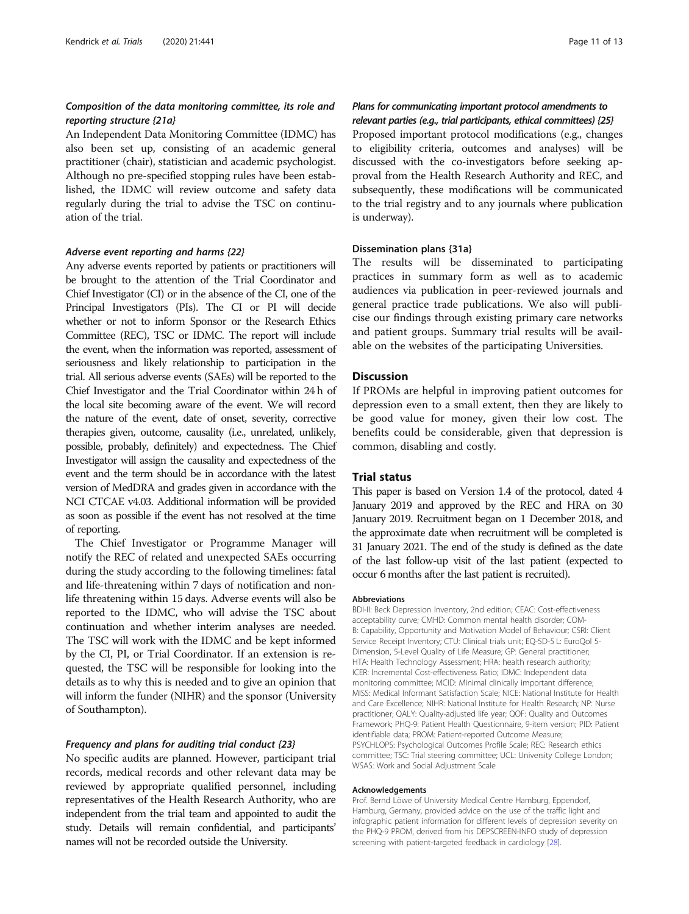#### Composition of the data monitoring committee, its role and reporting structure {21a}

An Independent Data Monitoring Committee (IDMC) has also been set up, consisting of an academic general practitioner (chair), statistician and academic psychologist. Although no pre-specified stopping rules have been established, the IDMC will review outcome and safety data regularly during the trial to advise the TSC on continuation of the trial.

#### Adverse event reporting and harms {22}

Any adverse events reported by patients or practitioners will be brought to the attention of the Trial Coordinator and Chief Investigator (CI) or in the absence of the CI, one of the Principal Investigators (PIs). The CI or PI will decide whether or not to inform Sponsor or the Research Ethics Committee (REC), TSC or IDMC. The report will include the event, when the information was reported, assessment of seriousness and likely relationship to participation in the trial. All serious adverse events (SAEs) will be reported to the Chief Investigator and the Trial Coordinator within 24 h of the local site becoming aware of the event. We will record the nature of the event, date of onset, severity, corrective therapies given, outcome, causality (i.e., unrelated, unlikely, possible, probably, definitely) and expectedness. The Chief Investigator will assign the causality and expectedness of the event and the term should be in accordance with the latest version of MedDRA and grades given in accordance with the NCI CTCAE v4.03. Additional information will be provided as soon as possible if the event has not resolved at the time of reporting.

The Chief Investigator or Programme Manager will notify the REC of related and unexpected SAEs occurring during the study according to the following timelines: fatal and life-threatening within 7 days of notification and nonlife threatening within 15 days. Adverse events will also be reported to the IDMC, who will advise the TSC about continuation and whether interim analyses are needed. The TSC will work with the IDMC and be kept informed by the CI, PI, or Trial Coordinator. If an extension is requested, the TSC will be responsible for looking into the details as to why this is needed and to give an opinion that will inform the funder (NIHR) and the sponsor (University of Southampton).

#### Frequency and plans for auditing trial conduct {23}

No specific audits are planned. However, participant trial records, medical records and other relevant data may be reviewed by appropriate qualified personnel, including representatives of the Health Research Authority, who are independent from the trial team and appointed to audit the study. Details will remain confidential, and participants' names will not be recorded outside the University.

#### Plans for communicating important protocol amendments to relevant parties (e.g., trial participants, ethical committees) {25}

Proposed important protocol modifications (e.g., changes to eligibility criteria, outcomes and analyses) will be discussed with the co-investigators before seeking approval from the Health Research Authority and REC, and subsequently, these modifications will be communicated to the trial registry and to any journals where publication is underway).

#### Dissemination plans {31a}

The results will be disseminated to participating practices in summary form as well as to academic audiences via publication in peer-reviewed journals and general practice trade publications. We also will publicise our findings through existing primary care networks and patient groups. Summary trial results will be available on the websites of the participating Universities.

#### **Discussion**

If PROMs are helpful in improving patient outcomes for depression even to a small extent, then they are likely to be good value for money, given their low cost. The benefits could be considerable, given that depression is common, disabling and costly.

#### Trial status

This paper is based on Version 1.4 of the protocol, dated 4 January 2019 and approved by the REC and HRA on 30 January 2019. Recruitment began on 1 December 2018, and the approximate date when recruitment will be completed is 31 January 2021. The end of the study is defined as the date of the last follow-up visit of the last patient (expected to occur 6 months after the last patient is recruited).

#### Abbreviations

BDI-II: Beck Depression Inventory, 2nd edition; CEAC: Cost-effectiveness acceptability curve; CMHD: Common mental health disorder; COM-B: Capability, Opportunity and Motivation Model of Behaviour; CSRI: Client Service Receipt Inventory; CTU: Clinical trials unit; EQ-5D-5 L: EuroQol 5- Dimension, 5-Level Quality of Life Measure; GP: General practitioner; HTA: Health Technology Assessment; HRA: health research authority; ICER: Incremental Cost-effectiveness Ratio; IDMC: Independent data monitoring committee; MCID: Minimal clinically important difference; MISS: Medical Informant Satisfaction Scale; NICE: National Institute for Health and Care Excellence; NIHR: National Institute for Health Research; NP: Nurse practitioner; QALY: Quality-adjusted life year; QOF: Quality and Outcomes Framework; PHQ-9: Patient Health Questionnaire, 9-item version; PID: Patient identifiable data; PROM: Patient-reported Outcome Measure; PSYCHLOPS: Psychological Outcomes Profile Scale; REC: Research ethics committee; TSC: Trial steering committee; UCL: University College London; WSAS: Work and Social Adjustment Scale

#### Acknowledgements

Prof. Bernd Löwe of University Medical Centre Hamburg, Eppendorf, Hamburg, Germany, provided advice on the use of the traffic light and infographic patient information for different levels of depression severity on the PHQ-9 PROM, derived from his DEPSCREEN-INFO study of depression screening with patient-targeted feedback in cardiology [\[28](#page-12-0)].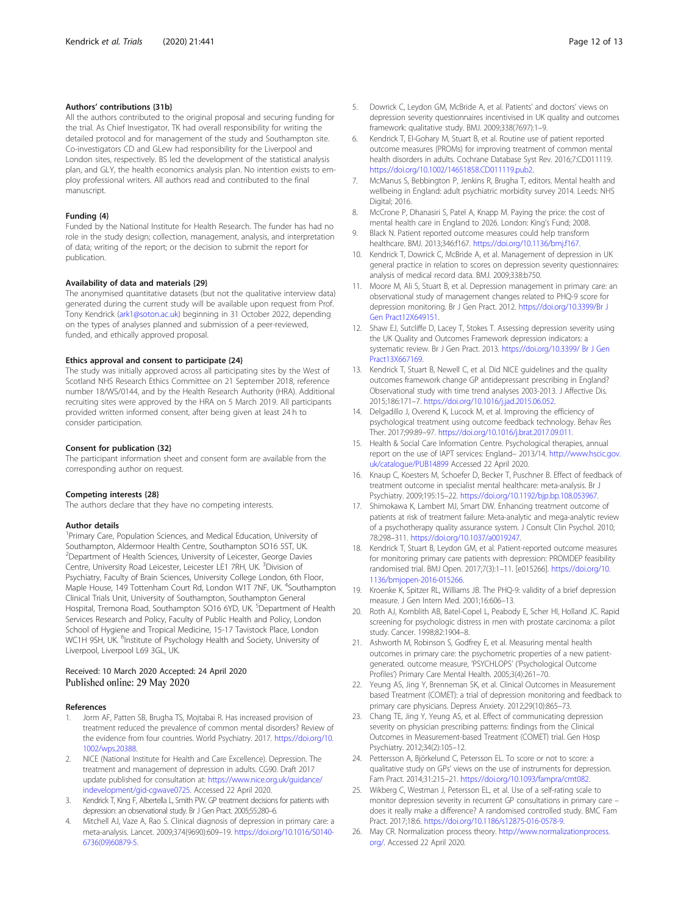#### <span id="page-11-0"></span>Authors' contributions {31b}

All the authors contributed to the original proposal and securing funding for the trial. As Chief Investigator, TK had overall responsibility for writing the detailed protocol and for management of the study and Southampton site. Co-investigators CD and GLew had responsibility for the Liverpool and London sites, respectively. BS led the development of the statistical analysis plan, and GLY, the health economics analysis plan. No intention exists to employ professional writers. All authors read and contributed to the final manuscript.

#### Funding {4}

Funded by the National Institute for Health Research. The funder has had no role in the study design; collection, management, analysis, and interpretation of data; writing of the report; or the decision to submit the report for publication.

#### Availability of data and materials {29}

The anonymised quantitative datasets (but not the qualitative interview data) generated during the current study will be available upon request from Prof. Tony Kendrick [\(ark1@soton.ac.uk](mailto:ark1@soton.ac.uk)) beginning in 31 October 2022, depending on the types of analyses planned and submission of a peer-reviewed, funded, and ethically approved proposal.

#### Ethics approval and consent to participate {24}

The study was initially approved across all participating sites by the West of Scotland NHS Research Ethics Committee on 21 September 2018, reference number 18/WS/0144, and by the Health Research Authority (HRA). Additional recruiting sites were approved by the HRA on 5 March 2019. All participants provided written informed consent, after being given at least 24 h to consider participation.

#### Consent for publication {32}

The participant information sheet and consent form are available from the corresponding author on request.

#### Competing interests {28}

The authors declare that they have no competing interests.

#### Author details

<sup>1</sup> Primary Care, Population Sciences, and Medical Education, University of Southampton, Aldermoor Health Centre, Southampton SO16 5ST, UK. <sup>2</sup> Department of Health Sciences, University of Leicester, George Davies Centre, University Road Leicester, Leicester LE1 7RH, UK. <sup>3</sup>Division of Psychiatry, Faculty of Brain Sciences, University College London, 6th Floor, Maple House, 149 Tottenham Court Rd, London W1T 7NF, UK. <sup>4</sup>Southampton Clinical Trials Unit, University of Southampton, Southampton General Hospital, Tremona Road, Southampton SO16 6YD, UK. <sup>5</sup>Department of Health Services Research and Policy, Faculty of Public Health and Policy, London School of Hygiene and Tropical Medicine, 15-17 Tavistock Place, London WC1H 9SH, UK. <sup>6</sup>Institute of Psychology Health and Society, University of Liverpool, Liverpool L69 3GL, UK.

#### Received: 10 March 2020 Accepted: 24 April 2020 Published online: 29 May 2020

#### References

- Jorm AF, Patten SB, Brugha TS, Mojtabai R. Has increased provision of treatment reduced the prevalence of common mental disorders? Review of the evidence from four countries. World Psychiatry. 2017. [https://doi.org/10.](https://doi.org/10.1002/wps.20388) [1002/wps.20388.](https://doi.org/10.1002/wps.20388)
- 2. NICE (National Institute for Health and Care Excellence). Depression. The treatment and management of depression in adults. CG90. Draft 2017 update published for consultation at: [https://www.nice.org.uk/guidance/](https://www.nice.org.uk/guidance/indevelopment/gid-cgwave0725) [indevelopment/gid-cgwave0725](https://www.nice.org.uk/guidance/indevelopment/gid-cgwave0725). Accessed 22 April 2020.
- Kendrick T, King F, Albertella L, Smith PW. GP treatment decisions for patients with depression: an observational study. Br J Gen Pract. 2005;55:280–6.
- 4. Mitchell AJ, Vaze A, Rao S. Clinical diagnosis of depression in primary care: a meta-analysis. Lancet. 2009;374(9690):609–19. [https://doi.org/10.1016/S0140-](https://doi.org/10.1016/S0140-6736(09)60879-5) [6736\(09\)60879-5](https://doi.org/10.1016/S0140-6736(09)60879-5).
- 5. Dowrick C, Leydon GM, McBride A, et al. Patients' and doctors' views on depression severity questionnaires incentivised in UK quality and outcomes framework: qualitative study. BMJ. 2009;338(7697):1–9.
- Kendrick T, El-Gohary M, Stuart B, et al. Routine use of patient reported outcome measures (PROMs) for improving treatment of common mental health disorders in adults. Cochrane Database Syst Rev. 2016;7:CD011119. [https://doi.org/10.1002/14651858.CD011119.pub2.](https://doi.org/10.1002/14651858.CD011119.pub2)
- 7. McManus S, Bebbington P, Jenkins R, Brugha T, editors. Mental health and wellbeing in England: adult psychiatric morbidity survey 2014. Leeds: NHS Digital: 2016.
- 8. McCrone P, Dhanasiri S, Patel A, Knapp M. Paying the price: the cost of mental health care in England to 2026. London: King's Fund; 2008.
- 9. Black N. Patient reported outcome measures could help transform healthcare. BMJ. 2013;346:f167. [https://doi.org/10.1136/bmj.f167.](https://doi.org/10.1136/bmj.f167)
- 10. Kendrick T, Dowrick C, McBride A, et al. Management of depression in UK general practice in relation to scores on depression severity questionnaires: analysis of medical record data. BMJ. 2009;338:b750.
- 11. Moore M, Ali S, Stuart B, et al. Depression management in primary care: an observational study of management changes related to PHQ-9 score for depression monitoring. Br J Gen Pract. 2012. [https://doi.org/10.3399/Br J](https://doi.org/10.3399/Br J Gen Pract12X649151) [Gen Pract12X649151.](https://doi.org/10.3399/Br J Gen Pract12X649151)
- 12. Shaw EJ, Sutcliffe D, Lacey T, Stokes T. Assessing depression severity using the UK Quality and Outcomes Framework depression indicators: a systematic review. Br J Gen Pract. 2013. [https://doi.org/10.3399/ Br J Gen](https://doi.org/10.3399/ Br J Gen Pract13X667169) [Pract13X667169.](https://doi.org/10.3399/ Br J Gen Pract13X667169)
- 13. Kendrick T, Stuart B, Newell C, et al. Did NICE guidelines and the quality outcomes framework change GP antidepressant prescribing in England? Observational study with time trend analyses 2003-2013. J Affective Dis. 2015;186:171–7. <https://doi.org/10.1016/j.jad.2015.06.052>.
- 14. Delgadillo J, Overend K, Lucock M, et al. Improving the efficiency of psychological treatment using outcome feedback technology. Behav Res Ther. 2017;99:89–97. <https://doi.org/10.1016/j.brat.2017.09.011>.
- 15. Health & Social Care Information Centre. Psychological therapies, annual report on the use of IAPT services: England– 2013/14. [http://www.hscic.gov.](http://www.hscic.gov.uk/catalogue/PUB14899) [uk/catalogue/PUB14899](http://www.hscic.gov.uk/catalogue/PUB14899) Accessed 22 April 2020.
- 16. Knaup C, Koesters M, Schoefer D, Becker T, Puschner B. Effect of feedback of treatment outcome in specialist mental healthcare: meta-analysis. Br J Psychiatry. 2009;195:15–22. <https://doi.org/10.1192/bjp.bp.108.053967>.
- 17. Shimokawa K, Lambert MJ, Smart DW. Enhancing treatment outcome of patients at risk of treatment failure: Meta-analytic and mega-analytic review of a psychotherapy quality assurance system. J Consult Clin Psychol. 2010; 78:298–311. <https://doi.org/10.1037/a0019247>.
- 18. Kendrick T, Stuart B, Leydon GM, et al. Patient-reported outcome measures for monitoring primary care patients with depression: PROMDEP feasibility randomised trial. BMJ Open. 2017;7(3):1–11. [e015266]. [https://doi.org/10.](https://doi.org/10.1136/bmjopen-2016-015266) [1136/bmjopen-2016-015266](https://doi.org/10.1136/bmjopen-2016-015266).
- 19. Kroenke K, Spitzer RL, Williams JB. The PHQ-9: validity of a brief depression measure. J Gen Intern Med. 2001;16:606–13.
- 20. Roth AJ, Kornblith AB, Batel-Copel L, Peabody E, Scher HI, Holland JC. Rapid screening for psychologic distress in men with prostate carcinoma: a pilot study. Cancer. 1998;82:1904–8.
- 21. Ashworth M, Robinson S, Godfrey E, et al. Measuring mental health outcomes in primary care: the psychometric properties of a new patientgenerated. outcome measure, 'PSYCHLOPS' ('Psychological Outcome Profiles') Primary Care Mental Health. 2005;3(4):261–70.
- 22. Yeung AS, Jing Y, Brenneman SK, et al. Clinical Outcomes in Measurement based Treatment (COMET): a trial of depression monitoring and feedback to primary care physicians. Depress Anxiety. 2012;29(10):865–73.
- 23. Chang TE, Jing Y, Yeung AS, et al. Effect of communicating depression severity on physician prescribing patterns: findings from the Clinical Outcomes in Measurement-based Treatment (COMET) trial. Gen Hosp Psychiatry. 2012;34(2):105–12.
- 24. Pettersson A, Björkelund C, Petersson EL. To score or not to score: a qualitative study on GPs' views on the use of instruments for depression. Fam Pract. 2014;31:215–21. <https://doi.org/10.1093/fampra/cmt082>.
- 25. Wikberg C, Westman J, Petersson EL, et al. Use of a self-rating scale to monitor depression severity in recurrent GP consultations in primary care – does it really make a difference? A randomised controlled study. BMC Fam Pract. 2017;18:6. <https://doi.org/10.1186/s12875-016-0578-9>.
- 26. May CR. Normalization process theory. [http://www.normalizationprocess.](http://www.normalizationprocess.org/) [org/.](http://www.normalizationprocess.org/) Accessed 22 April 2020.